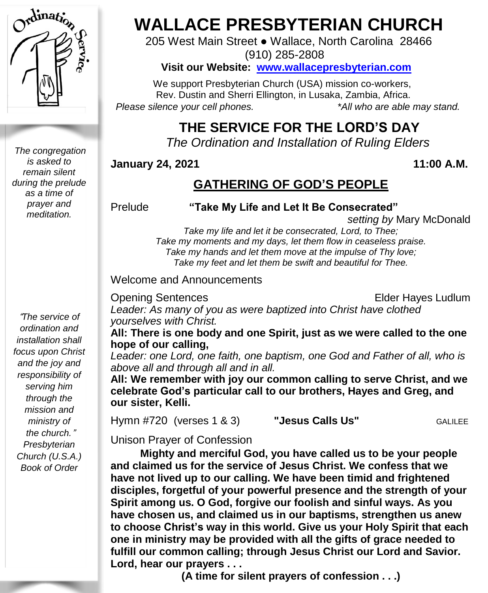

*The congregation is asked to remain silent during the prelude as a time of prayer and meditation.*

"*The service of ordination and installation shall focus upon Christ and the joy and responsibility of serving him through the mission and ministry of the church.*" *Presbyterian Church (U.S.A.) Book of Order*

# **WALLACE PRESBYTERIAN CHURCH**

205 West Main Street ● Wallace, North Carolina 28466 (910) 285-2808

**Visit our Website: [www.wallacepresbyterian.com](http://www.wallacepresbyterian.com/)**

 We support Presbyterian Church (USA) mission co-workers, Rev. Dustin and Sherri Ellington, in Lusaka, Zambia, Africa. *Please silence your cell phones. \*All who are able may stand.*

## **THE SERVICE FOR THE LORD'S DAY**

 *The Ordination and Installation of Ruling Elders*

### **January 24, 2021 11:00 A.M.**

## **GATHERING OF GOD'S PEOPLE**

#### Prelude **"Take My Life and Let It Be Consecrated"**

*setting by* Mary McDonald

*Take my life and let it be consecrated, Lord, to Thee; Take my moments and my days, let them flow in ceaseless praise. Take my hands and let them move at the impulse of Thy love; Take my feet and let them be swift and beautiful for Thee.*

Welcome and Announcements

Opening Sentences **Elder Hayes Ludlum** 

*Leader: As many of you as were baptized into Christ have clothed yourselves with Christ.*

**All: There is one body and one Spirit, just as we were called to the one hope of our calling,**

*Leader: one Lord, one faith, one baptism, one God and Father of all, who is above all and through all and in all.*

**All: We remember with joy our common calling to serve Christ, and we celebrate God's particular call to our brothers, Hayes and Greg, and our sister, Kelli.**

Hymn #720 (verses 1 & 3) **"Jesus Calls Us"** GALILEE

Unison Prayer of Confession

 **Mighty and merciful God, you have called us to be your people and claimed us for the service of Jesus Christ. We confess that we have not lived up to our calling. We have been timid and frightened disciples, forgetful of your powerful presence and the strength of your Spirit among us. O God, forgive our foolish and sinful ways. As you have chosen us, and claimed us in our baptisms, strengthen us anew to choose Christ's way in this world. Give us your Holy Spirit that each one in ministry may be provided with all the gifts of grace needed to fulfill our common calling; through Jesus Christ our Lord and Savior. Lord, hear our prayers . . .**

**(A time for silent prayers of confession . . .)**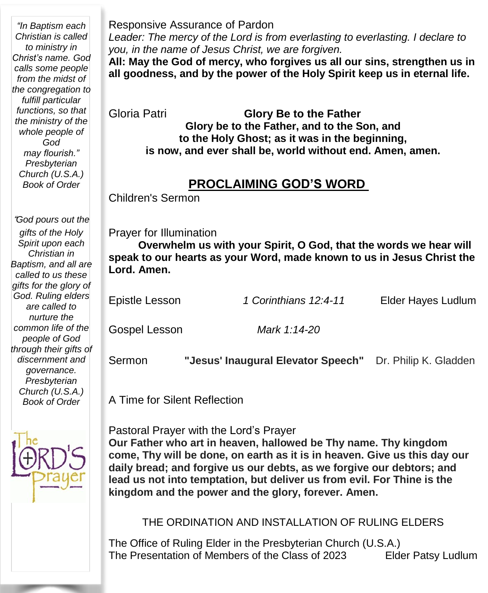Responsive Assurance of Pardon *Leader: The mercy of the Lord is from everlasting to everlasting. I declare to you, in the name of Jesus Christ, we are forgiven.* **All: May the God of mercy, who forgives us all our sins, strengthen us in all goodness, and by the power of the Holy Spirit keep us in eternal life.** Gloria Patri **Glory Be to the Father Glory be to the Father, and to the Son, and to the Holy Ghost; as it was in the beginning, is now, and ever shall be, world without end. Amen, amen. PROCLAIMING GOD'S WORD** Children's Sermon Prayer for Illumination **Overwhelm us with your Spirit, O God, that the words we hear will speak to our hearts as your Word, made known to us in Jesus Christ the Lord. Amen.** Epistle Lesson *1 Corinthians 12:4-11* Elder Hayes Ludlum Gospel Lesson *Mark 1:14-20* Sermon **"Jesus' Inaugural Elevator Speech"** Dr. Philip K. Gladden A Time for Silent Reflection *"In Baptism each Christian is called to ministry in Christ's name. God calls some people from the midst of the congregation to fulfill particular functions, so that the ministry of the whole people of God may flourish." Presbyterian Church (U.S.A.) Book of Order* "*God pours out the gifts of the Holy Spirit upon each Christian in Baptism, and all are called to us these gifts for the glory of God. Ruling elders are called to nurture the common life of the people of God through their gifts of discernment and governance. Presbyterian Church (U.S.A.) Book of Order*



Pastoral Prayer with the Lord's Prayer

**Our Father who art in heaven, hallowed be Thy name. Thy kingdom come, Thy will be done, on earth as it is in heaven. Give us this day our daily bread; and forgive us our debts, as we forgive our debtors; and lead us not into temptation, but deliver us from evil. For Thine is the kingdom and the power and the glory, forever. Amen.**

#### THE ORDINATION AND INSTALLATION OF RULING ELDERS

The Office of Ruling Elder in the Presbyterian Church (U.S.A.) The Presentation of Members of the Class of 2023 Elder Patsy Ludlum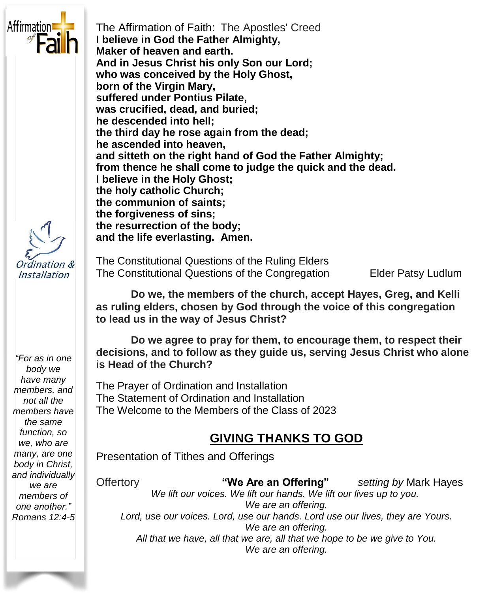

 **and sitteth on the right hand of God the Father Almighty; from thence he shall come to judge the quick and the dead. and the life everlasting. Amen.** The Affirmation of Faith: The Apostles' Creed **I believe in God the Father Almighty, Maker of heaven and earth. And in Jesus Christ his only Son our Lord; who was conceived by the Holy Ghost, born of the Virgin Mary, suffered under Pontius Pilate, was crucified, dead, and buried; he descended into hell; the third day he rose again from the dead; he ascended into heaven, I believe in the Holy Ghost; the holy catholic Church; the communion of saints; the forgiveness of sins; the resurrection of the body;**

The Constitutional Questions of the Ruling Elders The Constitutional Questions of the Congregation Elder Patsy Ludlum

**Do we, the members of the church, accept Hayes, Greg, and Kelli as ruling elders, chosen by God through the voice of this congregation to lead us in the way of Jesus Christ?**

**Do we agree to pray for them, to encourage them, to respect their decisions, and to follow as they guide us, serving Jesus Christ who alone is Head of the Church?**

The Prayer of Ordination and Installation The Statement of Ordination and Installation The Welcome to the Members of the Class of 2023

## **GIVING THANKS TO GOD**

Presentation of Tithes and Offerings

*we are members of one another."* Offertory **"We Are an Offering"** *setting by* Mark Hayes *We lift our voices. We lift our hands. We lift our lives up to you. We are an offering. Lord, use our voices. Lord, use our hands. Lord use our lives, they are Yours. We are an offering. All that we have, all that we are, all that we hope to be we give to You. We are an offering.*

*"For as in one body we have many members, and not all the members have the same function, so we, who are many, are one body in Christ, and individually Romans 12:4-5*

*rdination & Installation*